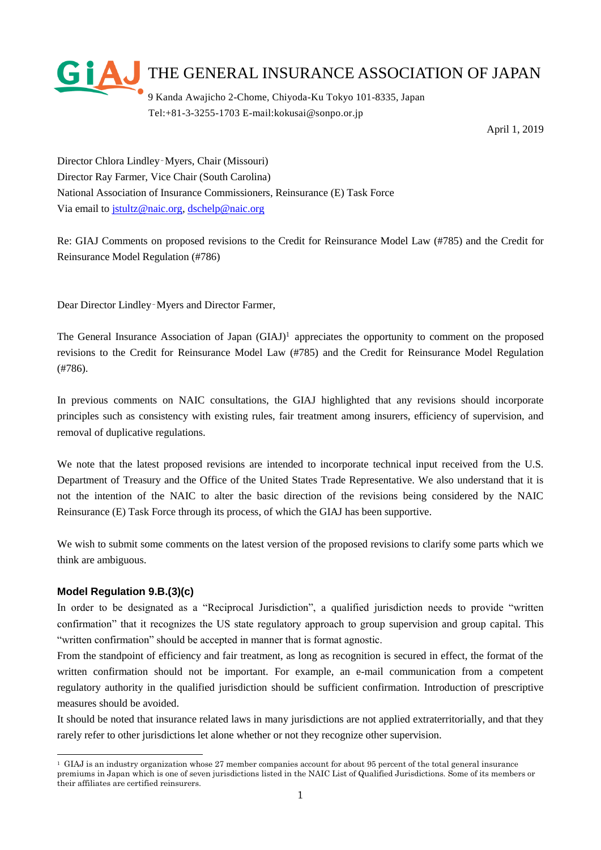

Tel:+81-3-3255-1703 E-mail:kokusai@sonpo.or.jp

April 1, 2019

Director Chlora Lindley‐Myers, Chair (Missouri) Director Ray Farmer, Vice Chair (South Carolina) National Association of Insurance Commissioners, Reinsurance (E) Task Force Via email to [jstultz@naic.org,](mailto:jstultz@naic.org) [dschelp@naic.org](mailto:dschelp@naic.org)

Re: GIAJ Comments on proposed revisions to the Credit for Reinsurance Model Law (#785) and the Credit for Reinsurance Model Regulation (#786)

Dear Director Lindley‐Myers and Director Farmer,

The General Insurance Association of Japan  $(GIAJ)^1$  appreciates the opportunity to comment on the proposed revisions to the Credit for Reinsurance Model Law (#785) and the Credit for Reinsurance Model Regulation (#786).

In previous comments on NAIC consultations, the GIAJ highlighted that any revisions should incorporate principles such as consistency with existing rules, fair treatment among insurers, efficiency of supervision, and removal of duplicative regulations.

We note that the latest proposed revisions are intended to incorporate technical input received from the U.S. Department of Treasury and the Office of the United States Trade Representative. We also understand that it is not the intention of the NAIC to alter the basic direction of the revisions being considered by the NAIC Reinsurance (E) Task Force through its process, of which the GIAJ has been supportive.

We wish to submit some comments on the latest version of the proposed revisions to clarify some parts which we think are ambiguous.

# **Model Regulation 9.B.(3)(c)**

-

In order to be designated as a "Reciprocal Jurisdiction", a qualified jurisdiction needs to provide "written confirmation" that it recognizes the US state regulatory approach to group supervision and group capital. This "written confirmation" should be accepted in manner that is format agnostic.

From the standpoint of efficiency and fair treatment, as long as recognition is secured in effect, the format of the written confirmation should not be important. For example, an e-mail communication from a competent regulatory authority in the qualified jurisdiction should be sufficient confirmation. Introduction of prescriptive measures should be avoided.

It should be noted that insurance related laws in many jurisdictions are not applied extraterritorially, and that they rarely refer to other jurisdictions let alone whether or not they recognize other supervision.

<sup>&</sup>lt;sup>1</sup> GIAJ is an industry organization whose 27 member companies account for about 95 percent of the total general insurance premiums in Japan which is one of seven jurisdictions listed in the NAIC List of Qualified Jurisdictions. Some of its members or their affiliates are certified reinsurers.